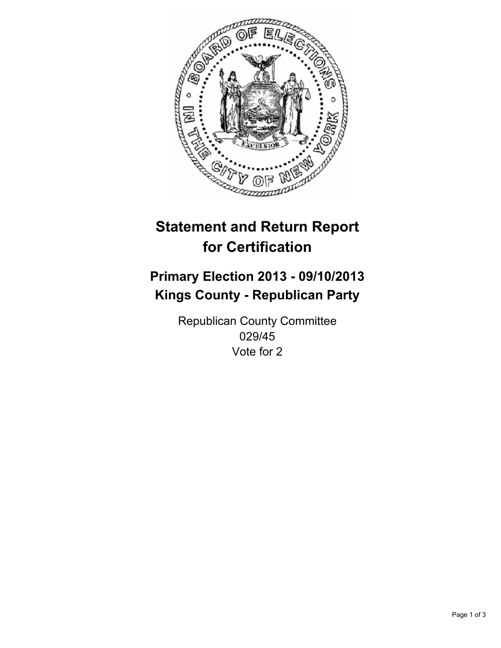

# **Statement and Return Report for Certification**

## **Primary Election 2013 - 09/10/2013 Kings County - Republican Party**

Republican County Committee 029/45 Vote for 2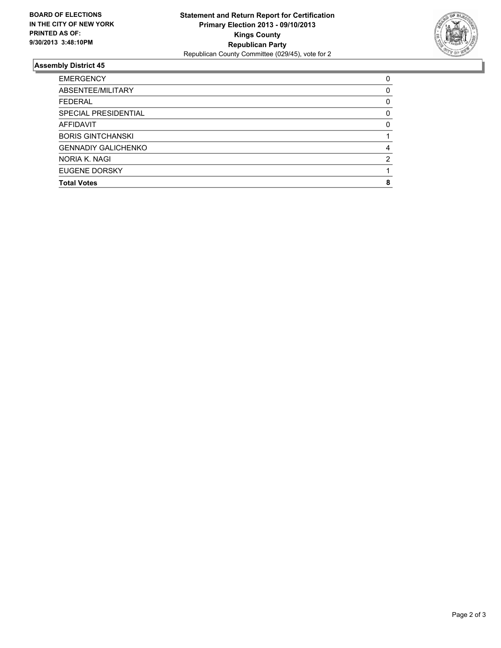

### **Assembly District 45**

| <b>EMERGENCY</b>           | 0        |
|----------------------------|----------|
| ABSENTEE/MILITARY          | 0        |
| <b>FEDERAL</b>             | 0        |
| SPECIAL PRESIDENTIAL       | 0        |
| AFFIDAVIT                  | $\Omega$ |
| <b>BORIS GINTCHANSKI</b>   |          |
| <b>GENNADIY GALICHENKO</b> | 4        |
| NORIA K. NAGI              | 2        |
| EUGENE DORSKY              |          |
| <b>Total Votes</b>         | 8        |
|                            |          |